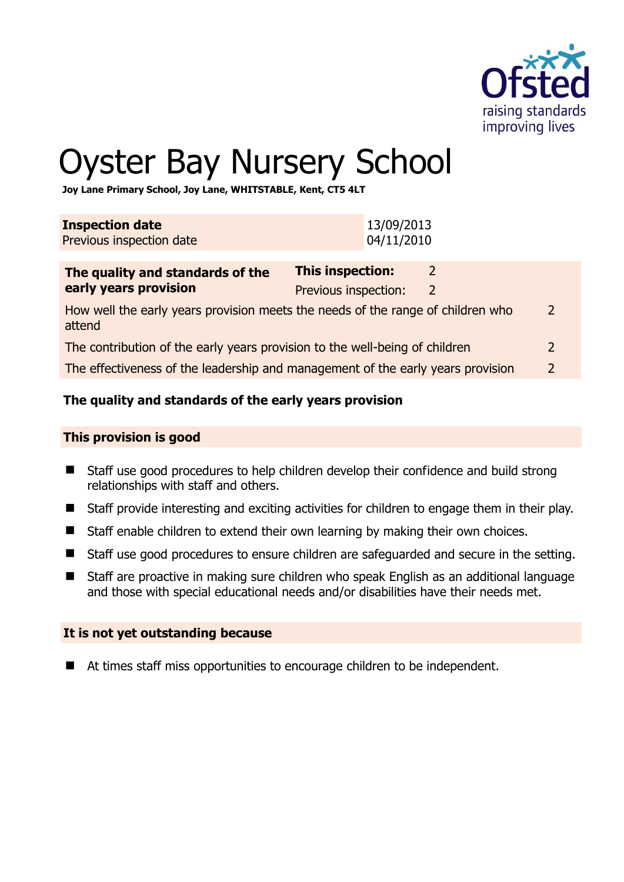

# Oyster Bay Nursery School

**Joy Lane Primary School, Joy Lane, WHITSTABLE, Kent, CT5 4LT** 

| <b>Inspection date</b><br>Previous inspection date                                                         | 13/09/2013<br>04/11/2010                                                          |               |
|------------------------------------------------------------------------------------------------------------|-----------------------------------------------------------------------------------|---------------|
| The quality and standards of the<br>early years provision                                                  | <b>This inspection:</b><br>$\mathcal{L}$<br>Previous inspection:<br>$\mathcal{L}$ |               |
| How well the early years provision meets the needs of the range of children who<br>$\mathcal{P}$<br>attend |                                                                                   |               |
| The contribution of the early years provision to the well-being of children                                |                                                                                   | $\mathcal{P}$ |
| The effectiveness of the leadership and management of the early years provision                            |                                                                                   | $\mathcal{P}$ |

# **The quality and standards of the early years provision**

#### **This provision is good**

- Staff use good procedures to help children develop their confidence and build strong relationships with staff and others.
- Staff provide interesting and exciting activities for children to engage them in their play.
- Staff enable children to extend their own learning by making their own choices.
- Staff use good procedures to ensure children are safeguarded and secure in the setting.
- Staff are proactive in making sure children who speak English as an additional language and those with special educational needs and/or disabilities have their needs met.

#### **It is not yet outstanding because**

■ At times staff miss opportunities to encourage children to be independent.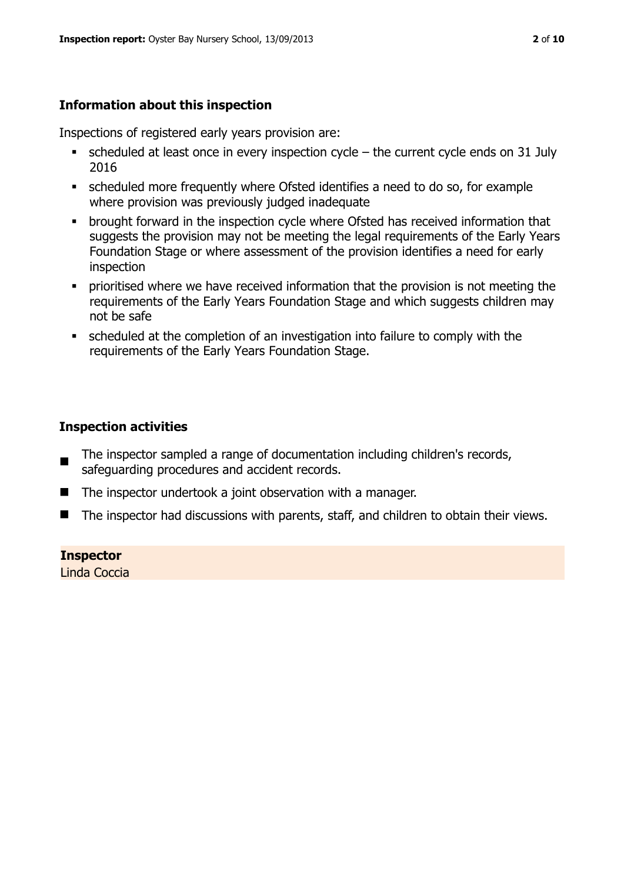# **Information about this inspection**

Inspections of registered early years provision are:

- scheduled at least once in every inspection cycle the current cycle ends on 31 July 2016
- scheduled more frequently where Ofsted identifies a need to do so, for example where provision was previously judged inadequate
- **•** brought forward in the inspection cycle where Ofsted has received information that suggests the provision may not be meeting the legal requirements of the Early Years Foundation Stage or where assessment of the provision identifies a need for early inspection
- **•** prioritised where we have received information that the provision is not meeting the requirements of the Early Years Foundation Stage and which suggests children may not be safe
- scheduled at the completion of an investigation into failure to comply with the requirements of the Early Years Foundation Stage.

# **Inspection activities**

- The inspector sampled a range of documentation including children's records, safeguarding procedures and accident records.
- The inspector undertook a joint observation with a manager.
- The inspector had discussions with parents, staff, and children to obtain their views.

#### **Inspector**

Linda Coccia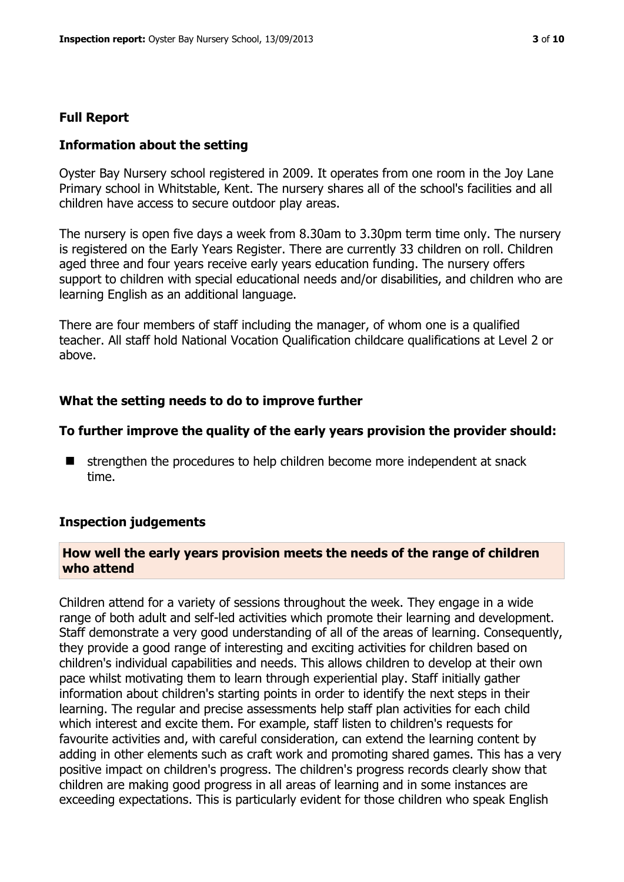#### **Full Report**

#### **Information about the setting**

Oyster Bay Nursery school registered in 2009. It operates from one room in the Joy Lane Primary school in Whitstable, Kent. The nursery shares all of the school's facilities and all children have access to secure outdoor play areas.

The nursery is open five days a week from 8.30am to 3.30pm term time only. The nursery is registered on the Early Years Register. There are currently 33 children on roll. Children aged three and four years receive early years education funding. The nursery offers support to children with special educational needs and/or disabilities, and children who are learning English as an additional language.

There are four members of staff including the manager, of whom one is a qualified teacher. All staff hold National Vocation Qualification childcare qualifications at Level 2 or above.

#### **What the setting needs to do to improve further**

#### **To further improve the quality of the early years provision the provider should:**

 $\blacksquare$  strengthen the procedures to help children become more independent at snack time.

#### **Inspection judgements**

#### **How well the early years provision meets the needs of the range of children who attend**

Children attend for a variety of sessions throughout the week. They engage in a wide range of both adult and self-led activities which promote their learning and development. Staff demonstrate a very good understanding of all of the areas of learning. Consequently, they provide a good range of interesting and exciting activities for children based on children's individual capabilities and needs. This allows children to develop at their own pace whilst motivating them to learn through experiential play. Staff initially gather information about children's starting points in order to identify the next steps in their learning. The regular and precise assessments help staff plan activities for each child which interest and excite them. For example, staff listen to children's requests for favourite activities and, with careful consideration, can extend the learning content by adding in other elements such as craft work and promoting shared games. This has a very positive impact on children's progress. The children's progress records clearly show that children are making good progress in all areas of learning and in some instances are exceeding expectations. This is particularly evident for those children who speak English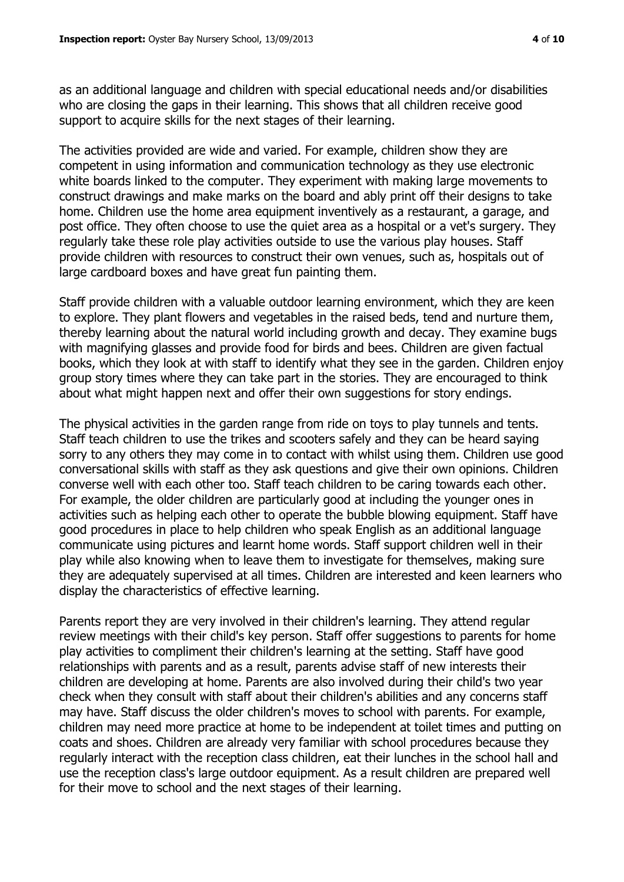as an additional language and children with special educational needs and/or disabilities who are closing the gaps in their learning. This shows that all children receive good support to acquire skills for the next stages of their learning.

The activities provided are wide and varied. For example, children show they are competent in using information and communication technology as they use electronic white boards linked to the computer. They experiment with making large movements to construct drawings and make marks on the board and ably print off their designs to take home. Children use the home area equipment inventively as a restaurant, a garage, and post office. They often choose to use the quiet area as a hospital or a vet's surgery. They regularly take these role play activities outside to use the various play houses. Staff provide children with resources to construct their own venues, such as, hospitals out of large cardboard boxes and have great fun painting them.

Staff provide children with a valuable outdoor learning environment, which they are keen to explore. They plant flowers and vegetables in the raised beds, tend and nurture them, thereby learning about the natural world including growth and decay. They examine bugs with magnifying glasses and provide food for birds and bees. Children are given factual books, which they look at with staff to identify what they see in the garden. Children enjoy group story times where they can take part in the stories. They are encouraged to think about what might happen next and offer their own suggestions for story endings.

The physical activities in the garden range from ride on toys to play tunnels and tents. Staff teach children to use the trikes and scooters safely and they can be heard saying sorry to any others they may come in to contact with whilst using them. Children use good conversational skills with staff as they ask questions and give their own opinions. Children converse well with each other too. Staff teach children to be caring towards each other. For example, the older children are particularly good at including the younger ones in activities such as helping each other to operate the bubble blowing equipment. Staff have good procedures in place to help children who speak English as an additional language communicate using pictures and learnt home words. Staff support children well in their play while also knowing when to leave them to investigate for themselves, making sure they are adequately supervised at all times. Children are interested and keen learners who display the characteristics of effective learning.

Parents report they are very involved in their children's learning. They attend regular review meetings with their child's key person. Staff offer suggestions to parents for home play activities to compliment their children's learning at the setting. Staff have good relationships with parents and as a result, parents advise staff of new interests their children are developing at home. Parents are also involved during their child's two year check when they consult with staff about their children's abilities and any concerns staff may have. Staff discuss the older children's moves to school with parents. For example, children may need more practice at home to be independent at toilet times and putting on coats and shoes. Children are already very familiar with school procedures because they regularly interact with the reception class children, eat their lunches in the school hall and use the reception class's large outdoor equipment. As a result children are prepared well for their move to school and the next stages of their learning.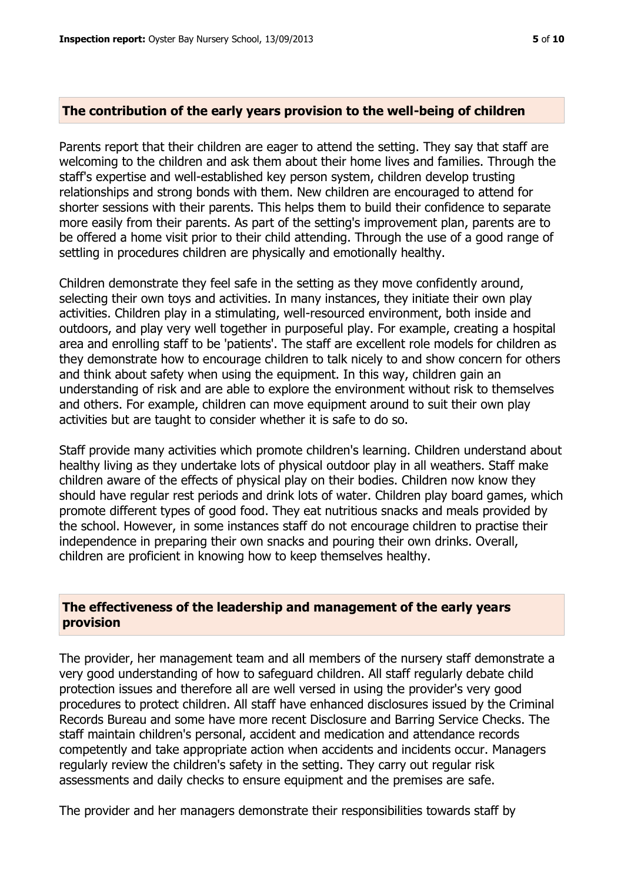#### **The contribution of the early years provision to the well-being of children**

Parents report that their children are eager to attend the setting. They say that staff are welcoming to the children and ask them about their home lives and families. Through the staff's expertise and well-established key person system, children develop trusting relationships and strong bonds with them. New children are encouraged to attend for shorter sessions with their parents. This helps them to build their confidence to separate more easily from their parents. As part of the setting's improvement plan, parents are to be offered a home visit prior to their child attending. Through the use of a good range of settling in procedures children are physically and emotionally healthy.

Children demonstrate they feel safe in the setting as they move confidently around, selecting their own toys and activities. In many instances, they initiate their own play activities. Children play in a stimulating, well-resourced environment, both inside and outdoors, and play very well together in purposeful play. For example, creating a hospital area and enrolling staff to be 'patients'. The staff are excellent role models for children as they demonstrate how to encourage children to talk nicely to and show concern for others and think about safety when using the equipment. In this way, children gain an understanding of risk and are able to explore the environment without risk to themselves and others. For example, children can move equipment around to suit their own play activities but are taught to consider whether it is safe to do so.

Staff provide many activities which promote children's learning. Children understand about healthy living as they undertake lots of physical outdoor play in all weathers. Staff make children aware of the effects of physical play on their bodies. Children now know they should have regular rest periods and drink lots of water. Children play board games, which promote different types of good food. They eat nutritious snacks and meals provided by the school. However, in some instances staff do not encourage children to practise their independence in preparing their own snacks and pouring their own drinks. Overall, children are proficient in knowing how to keep themselves healthy.

#### **The effectiveness of the leadership and management of the early years provision**

The provider, her management team and all members of the nursery staff demonstrate a very good understanding of how to safeguard children. All staff regularly debate child protection issues and therefore all are well versed in using the provider's very good procedures to protect children. All staff have enhanced disclosures issued by the Criminal Records Bureau and some have more recent Disclosure and Barring Service Checks. The staff maintain children's personal, accident and medication and attendance records competently and take appropriate action when accidents and incidents occur. Managers regularly review the children's safety in the setting. They carry out regular risk assessments and daily checks to ensure equipment and the premises are safe.

The provider and her managers demonstrate their responsibilities towards staff by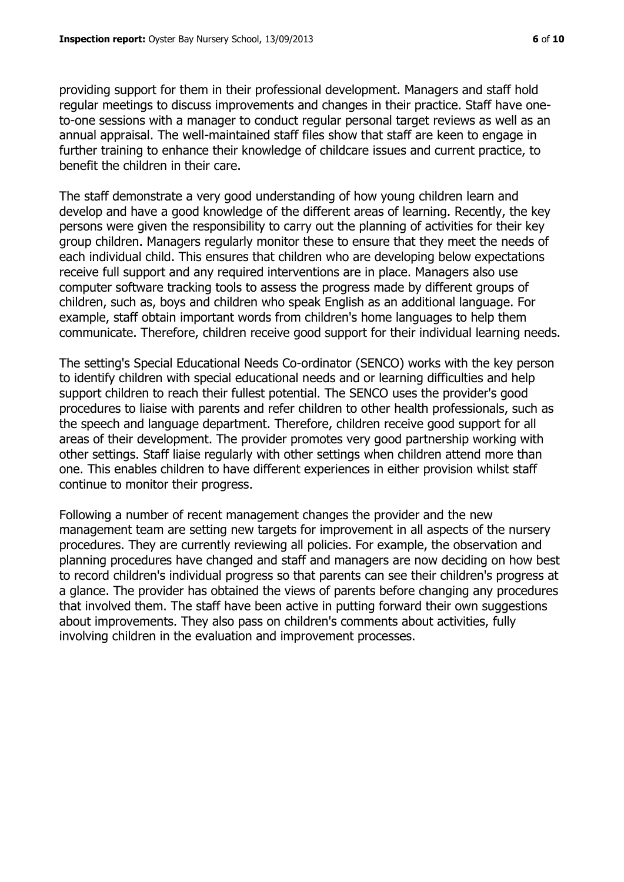providing support for them in their professional development. Managers and staff hold regular meetings to discuss improvements and changes in their practice. Staff have oneto-one sessions with a manager to conduct regular personal target reviews as well as an annual appraisal. The well-maintained staff files show that staff are keen to engage in further training to enhance their knowledge of childcare issues and current practice, to benefit the children in their care.

The staff demonstrate a very good understanding of how young children learn and develop and have a good knowledge of the different areas of learning. Recently, the key persons were given the responsibility to carry out the planning of activities for their key group children. Managers regularly monitor these to ensure that they meet the needs of each individual child. This ensures that children who are developing below expectations receive full support and any required interventions are in place. Managers also use computer software tracking tools to assess the progress made by different groups of children, such as, boys and children who speak English as an additional language. For example, staff obtain important words from children's home languages to help them communicate. Therefore, children receive good support for their individual learning needs.

The setting's Special Educational Needs Co-ordinator (SENCO) works with the key person to identify children with special educational needs and or learning difficulties and help support children to reach their fullest potential. The SENCO uses the provider's good procedures to liaise with parents and refer children to other health professionals, such as the speech and language department. Therefore, children receive good support for all areas of their development. The provider promotes very good partnership working with other settings. Staff liaise regularly with other settings when children attend more than one. This enables children to have different experiences in either provision whilst staff continue to monitor their progress.

Following a number of recent management changes the provider and the new management team are setting new targets for improvement in all aspects of the nursery procedures. They are currently reviewing all policies. For example, the observation and planning procedures have changed and staff and managers are now deciding on how best to record children's individual progress so that parents can see their children's progress at a glance. The provider has obtained the views of parents before changing any procedures that involved them. The staff have been active in putting forward their own suggestions about improvements. They also pass on children's comments about activities, fully involving children in the evaluation and improvement processes.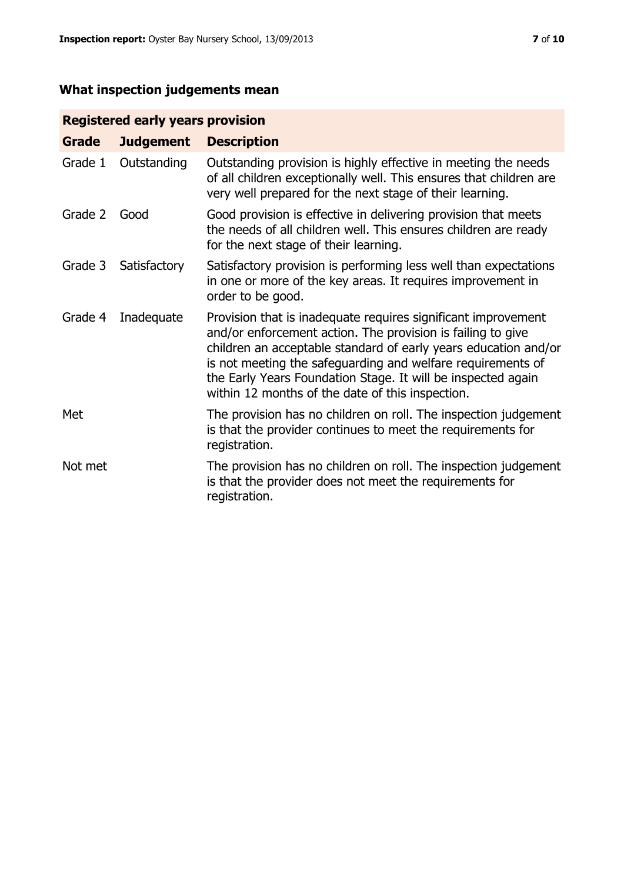# **What inspection judgements mean**

# **Registered early years provision**

| Grade   | <b>Judgement</b> | <b>Description</b>                                                                                                                                                                                                                                                                                                                                                                 |
|---------|------------------|------------------------------------------------------------------------------------------------------------------------------------------------------------------------------------------------------------------------------------------------------------------------------------------------------------------------------------------------------------------------------------|
| Grade 1 | Outstanding      | Outstanding provision is highly effective in meeting the needs<br>of all children exceptionally well. This ensures that children are<br>very well prepared for the next stage of their learning.                                                                                                                                                                                   |
| Grade 2 | Good             | Good provision is effective in delivering provision that meets<br>the needs of all children well. This ensures children are ready<br>for the next stage of their learning.                                                                                                                                                                                                         |
| Grade 3 | Satisfactory     | Satisfactory provision is performing less well than expectations<br>in one or more of the key areas. It requires improvement in<br>order to be good.                                                                                                                                                                                                                               |
| Grade 4 | Inadequate       | Provision that is inadequate requires significant improvement<br>and/or enforcement action. The provision is failing to give<br>children an acceptable standard of early years education and/or<br>is not meeting the safeguarding and welfare requirements of<br>the Early Years Foundation Stage. It will be inspected again<br>within 12 months of the date of this inspection. |
| Met     |                  | The provision has no children on roll. The inspection judgement<br>is that the provider continues to meet the requirements for<br>registration.                                                                                                                                                                                                                                    |
| Not met |                  | The provision has no children on roll. The inspection judgement<br>is that the provider does not meet the requirements for<br>registration.                                                                                                                                                                                                                                        |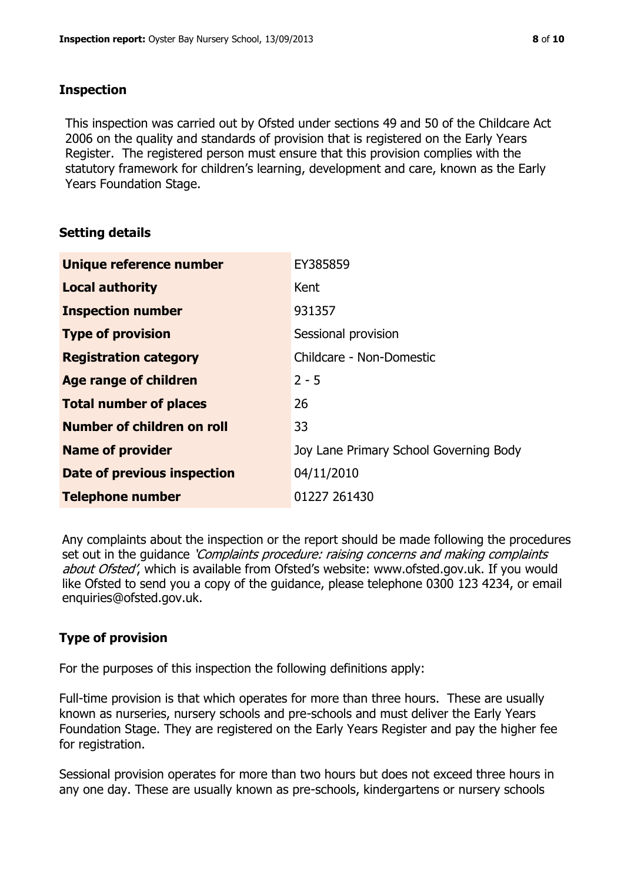#### **Inspection**

This inspection was carried out by Ofsted under sections 49 and 50 of the Childcare Act 2006 on the quality and standards of provision that is registered on the Early Years Register. The registered person must ensure that this provision complies with the statutory framework for children's learning, development and care, known as the Early Years Foundation Stage.

# **Setting details**

| Unique reference number       | EY385859                               |
|-------------------------------|----------------------------------------|
| <b>Local authority</b>        | Kent                                   |
| <b>Inspection number</b>      | 931357                                 |
| <b>Type of provision</b>      | Sessional provision                    |
| <b>Registration category</b>  | Childcare - Non-Domestic               |
| Age range of children         | $2 - 5$                                |
| <b>Total number of places</b> | 26                                     |
| Number of children on roll    | 33                                     |
| <b>Name of provider</b>       | Joy Lane Primary School Governing Body |
| Date of previous inspection   | 04/11/2010                             |
| <b>Telephone number</b>       | 01227 261430                           |

Any complaints about the inspection or the report should be made following the procedures set out in the guidance *'Complaints procedure: raising concerns and making complaints* about Ofsted', which is available from Ofsted's website: www.ofsted.gov.uk. If you would like Ofsted to send you a copy of the guidance, please telephone 0300 123 4234, or email enquiries@ofsted.gov.uk.

# **Type of provision**

For the purposes of this inspection the following definitions apply:

Full-time provision is that which operates for more than three hours. These are usually known as nurseries, nursery schools and pre-schools and must deliver the Early Years Foundation Stage. They are registered on the Early Years Register and pay the higher fee for registration.

Sessional provision operates for more than two hours but does not exceed three hours in any one day. These are usually known as pre-schools, kindergartens or nursery schools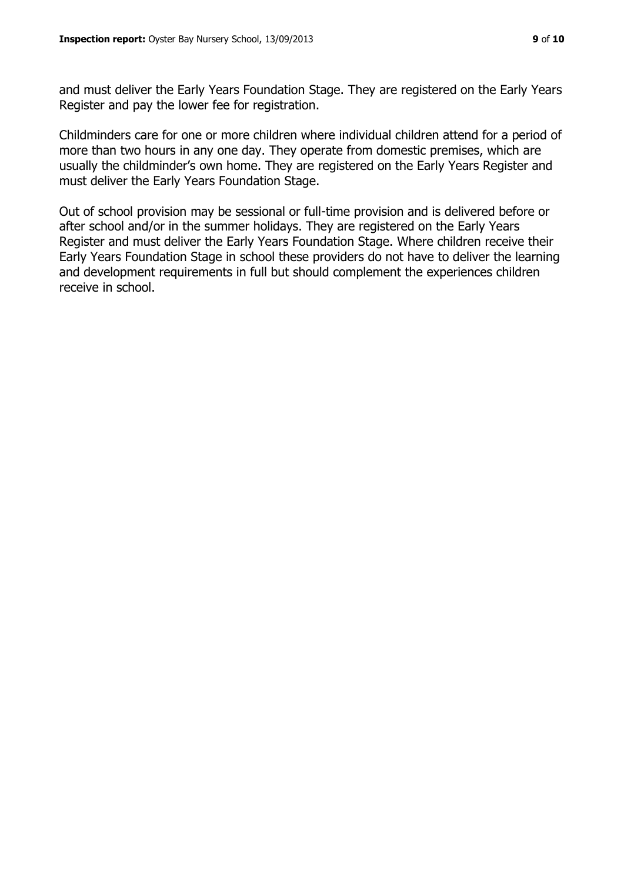and must deliver the Early Years Foundation Stage. They are registered on the Early Years Register and pay the lower fee for registration.

Childminders care for one or more children where individual children attend for a period of more than two hours in any one day. They operate from domestic premises, which are usually the childminder's own home. They are registered on the Early Years Register and must deliver the Early Years Foundation Stage.

Out of school provision may be sessional or full-time provision and is delivered before or after school and/or in the summer holidays. They are registered on the Early Years Register and must deliver the Early Years Foundation Stage. Where children receive their Early Years Foundation Stage in school these providers do not have to deliver the learning and development requirements in full but should complement the experiences children receive in school.